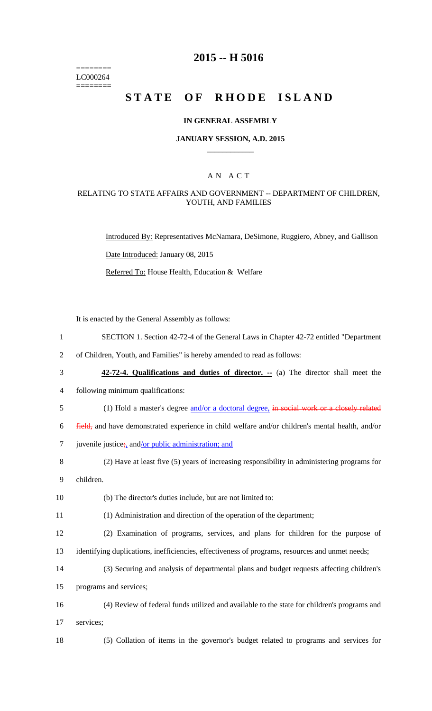======== LC000264 ========

# **2015 -- H 5016**

# STATE OF RHODE ISLAND

### **IN GENERAL ASSEMBLY**

#### **JANUARY SESSION, A.D. 2015 \_\_\_\_\_\_\_\_\_\_\_\_**

### A N A C T

### RELATING TO STATE AFFAIRS AND GOVERNMENT -- DEPARTMENT OF CHILDREN, YOUTH, AND FAMILIES

Introduced By: Representatives McNamara, DeSimone, Ruggiero, Abney, and Gallison Date Introduced: January 08, 2015 Referred To: House Health, Education & Welfare

It is enacted by the General Assembly as follows:

- 1 SECTION 1. Section 42-72-4 of the General Laws in Chapter 42-72 entitled "Department
- 2 of Children, Youth, and Families" is hereby amended to read as follows:
- 3 **42-72-4. Qualifications and duties of director. --** (a) The director shall meet the
- 4 following minimum qualifications:
- 5 (1) Hold a master's degree and/or a doctoral degree, in social work or a closely related

6 field, and have demonstrated experience in child welfare and/or children's mental health, and/or

- 7 juvenile justice; and/or public administration; and
- 8 (2) Have at least five (5) years of increasing responsibility in administering programs for

9 children.

10 (b) The director's duties include, but are not limited to:

11 (1) Administration and direction of the operation of the department;

- 12 (2) Examination of programs, services, and plans for children for the purpose of 13 identifying duplications, inefficiencies, effectiveness of programs, resources and unmet needs;
- 14 (3) Securing and analysis of departmental plans and budget requests affecting children's

15 programs and services;

- 16 (4) Review of federal funds utilized and available to the state for children's programs and 17 services;
- 

18 (5) Collation of items in the governor's budget related to programs and services for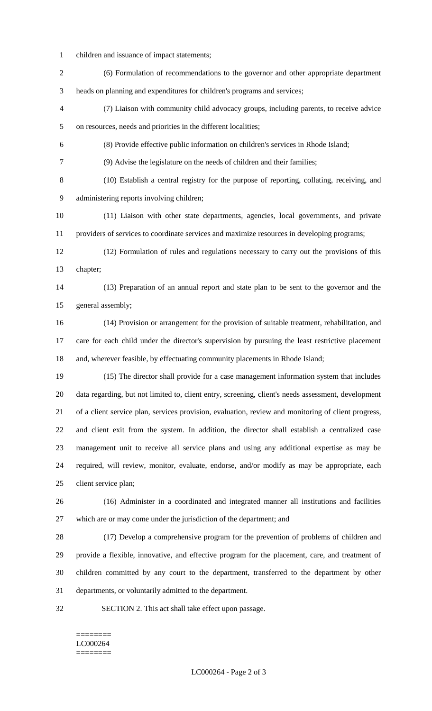- children and issuance of impact statements;
- (6) Formulation of recommendations to the governor and other appropriate department heads on planning and expenditures for children's programs and services;
- (7) Liaison with community child advocacy groups, including parents, to receive advice on resources, needs and priorities in the different localities;
- (8) Provide effective public information on children's services in Rhode Island;
- (9) Advise the legislature on the needs of children and their families;
- (10) Establish a central registry for the purpose of reporting, collating, receiving, and administering reports involving children;
- (11) Liaison with other state departments, agencies, local governments, and private providers of services to coordinate services and maximize resources in developing programs;
- (12) Formulation of rules and regulations necessary to carry out the provisions of this chapter;
- (13) Preparation of an annual report and state plan to be sent to the governor and the general assembly;
- (14) Provision or arrangement for the provision of suitable treatment, rehabilitation, and care for each child under the director's supervision by pursuing the least restrictive placement and, wherever feasible, by effectuating community placements in Rhode Island;
- (15) The director shall provide for a case management information system that includes data regarding, but not limited to, client entry, screening, client's needs assessment, development of a client service plan, services provision, evaluation, review and monitoring of client progress, and client exit from the system. In addition, the director shall establish a centralized case management unit to receive all service plans and using any additional expertise as may be required, will review, monitor, evaluate, endorse, and/or modify as may be appropriate, each client service plan;
- (16) Administer in a coordinated and integrated manner all institutions and facilities which are or may come under the jurisdiction of the department; and
- (17) Develop a comprehensive program for the prevention of problems of children and provide a flexible, innovative, and effective program for the placement, care, and treatment of children committed by any court to the department, transferred to the department by other departments, or voluntarily admitted to the department.
- 
- SECTION 2. This act shall take effect upon passage.

#### ======== LC000264 ========